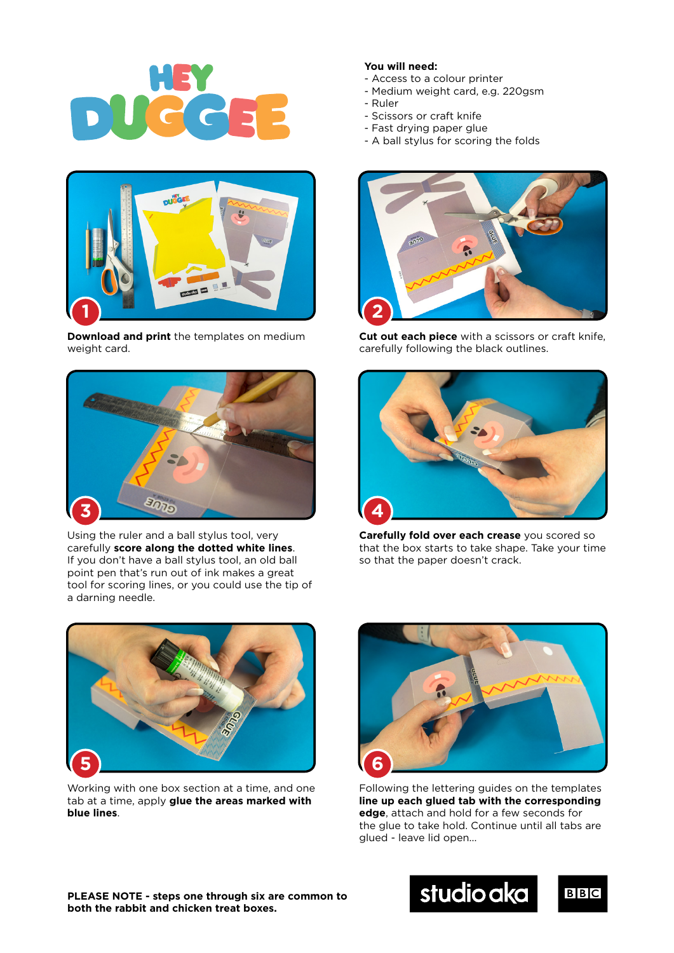



**Download and print** the templates on medium weight card.



Using the ruler and a ball stylus tool, very carefully **score along the dotted white lines**. If you don't have a ball stylus tool, an old ball point pen that's run out of ink makes a great tool for scoring lines, or you could use the tip of a darning needle.



Working with one box section at a time, and one tab at a time, apply **glue the areas marked with blue lines**.

## **You will need:**

- Access to a colour printer
- Medium weight card, e.g. 220gsm
- Ruler
- Scissors or craft knife
- Fast drying paper glue
- A ball stylus for scoring the folds



**Cut out each piece** with a scissors or craft knife, carefully following the black outlines.



**Carefully fold over each crease** you scored so that the box starts to take shape. Take your time so that the paper doesn't crack.



Following the lettering guides on the templates **line up each glued tab with the corresponding edge**, attach and hold for a few seconds for the glue to take hold. Continue until all tabs are glued - leave lid open...